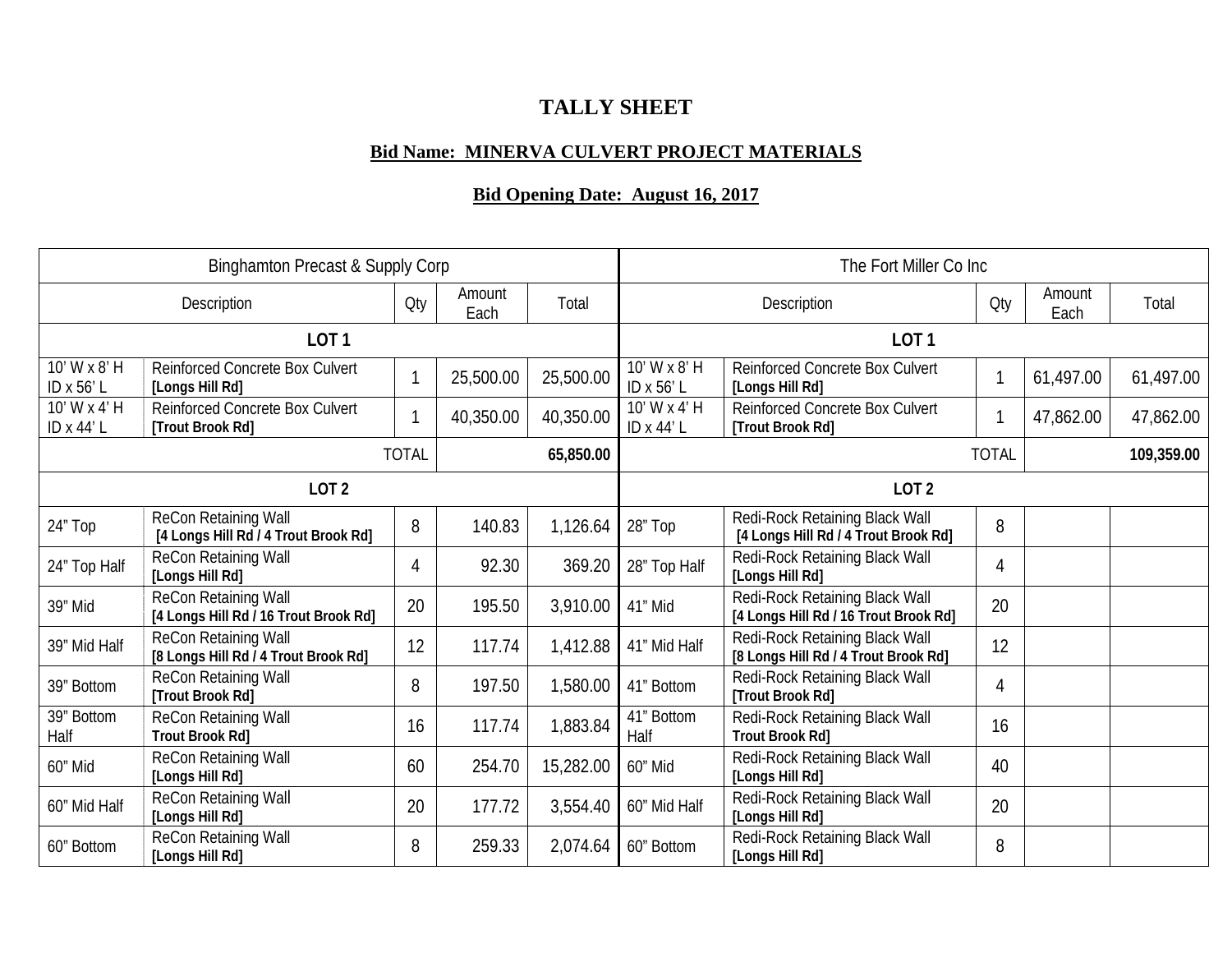## **TALLY SHEET**

## **Bid Name: MINERVA CULVERT PROJECT MATERIALS**

## **Bid Opening Date: August 16, 2017**

| <b>Binghamton Precast &amp; Supply Corp</b> |                                                               |     |                |           |                            | The Fort Miller Co Inc                                                  |                |                |           |  |
|---------------------------------------------|---------------------------------------------------------------|-----|----------------|-----------|----------------------------|-------------------------------------------------------------------------|----------------|----------------|-----------|--|
| Description                                 |                                                               | Oty | Amount<br>Each | Total     | Description                |                                                                         | Qty            | Amount<br>Each | Total     |  |
| LOT <sub>1</sub>                            |                                                               |     |                |           | LOT <sub>1</sub>           |                                                                         |                |                |           |  |
| 10' W x 8' H<br>ID x 56' L                  | Reinforced Concrete Box Culvert<br>[Longs Hill Rd]            |     | 25,500.00      | 25,500.00 | 10' W x 8' H<br>ID x 56' L | Reinforced Concrete Box Culvert<br>[Longs Hill Rd]                      |                | 61,497.00      | 61,497.00 |  |
| 10' W x 4' H<br>ID x 44' L                  | <b>Reinforced Concrete Box Culvert</b><br>[Trout Brook Rd]    | 1   | 40,350.00      | 40,350.00 | 10' W x 4' H<br>ID x 44' L | <b>Reinforced Concrete Box Culvert</b><br>[Trout Brook Rd]              | $\overline{1}$ | 47,862.00      | 47,862.00 |  |
| <b>TOTAL</b><br>65,850.00                   |                                                               |     |                |           |                            | <b>TOTAL</b>                                                            |                | 109,359.00     |           |  |
| LOT <sub>2</sub>                            |                                                               |     |                |           | LOT <sub>2</sub>           |                                                                         |                |                |           |  |
| 24" Top                                     | ReCon Retaining Wall<br>[4 Longs Hill Rd / 4 Trout Brook Rd]  | 8   | 140.83         | 1,126.64  | 28" Top                    | Redi-Rock Retaining Black Wall<br>[4 Longs Hill Rd / 4 Trout Brook Rd]  | 8              |                |           |  |
| 24" Top Half                                | ReCon Retaining Wall<br>[Longs Hill Rd]                       | 4   | 92.30          | 369.20    | 28" Top Half               | Redi-Rock Retaining Black Wall<br>[Longs Hill Rd]                       | 4              |                |           |  |
| 39" Mid                                     | ReCon Retaining Wall<br>[4 Longs Hill Rd / 16 Trout Brook Rd] | 20  | 195.50         | 3,910.00  | 41" Mid                    | Redi-Rock Retaining Black Wall<br>[4 Longs Hill Rd / 16 Trout Brook Rd] | 20             |                |           |  |
| 39" Mid Half                                | ReCon Retaining Wall<br>[8 Longs Hill Rd / 4 Trout Brook Rd]  | 12  | 117.74         | 1,412.88  | 41" Mid Half               | Redi-Rock Retaining Black Wall<br>[8 Longs Hill Rd / 4 Trout Brook Rd]  | 12             |                |           |  |
| 39" Bottom                                  | ReCon Retaining Wall<br>[Trout Brook Rd]                      | 8   | 197.50         | 1,580.00  | 41" Bottom                 | Redi-Rock Retaining Black Wall<br>[Trout Brook Rd]                      | 4              |                |           |  |
| 39" Bottom<br>Half                          | ReCon Retaining Wall<br><b>Trout Brook Rd]</b>                | 16  | 117.74         | 1,883.84  | 41" Bottom<br>Half         | Redi-Rock Retaining Black Wall<br><b>Trout Brook Rd]</b>                | 16             |                |           |  |
| 60" Mid                                     | ReCon Retaining Wall<br>[Longs Hill Rd]                       | 60  | 254.70         | 15,282.00 | 60" Mid                    | Redi-Rock Retaining Black Wall<br>[Longs Hill Rd]                       | 40             |                |           |  |
| 60" Mid Half                                | ReCon Retaining Wall<br>[Longs Hill Rd]                       | 20  | 177.72         | 3,554.40  | 60" Mid Half               | Redi-Rock Retaining Black Wall<br>[Longs Hill Rd]                       | 20             |                |           |  |
| 60" Bottom                                  | ReCon Retaining Wall<br>[Longs Hill Rd]                       | 8   | 259.33         | 2,074.64  | 60" Bottom                 | Redi-Rock Retaining Black Wall<br>[Longs Hill Rd]                       | 8              |                |           |  |